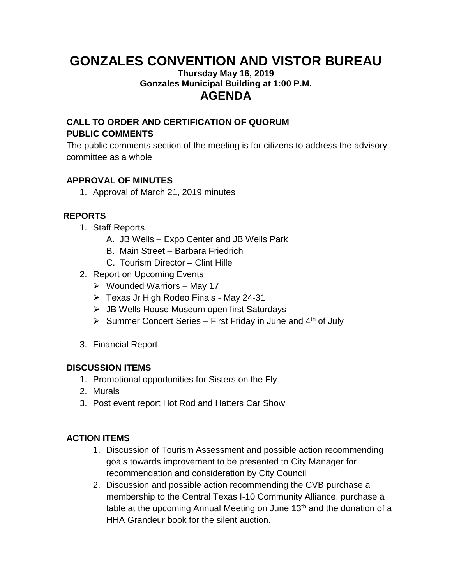# **GONZALES CONVENTION AND VISTOR BUREAU**

#### **Thursday May 16, 2019 Gonzales Municipal Building at 1:00 P.M. AGENDA**

# **CALL TO ORDER AND CERTIFICATION OF QUORUM PUBLIC COMMENTS**

The public comments section of the meeting is for citizens to address the advisory committee as a whole

## **APPROVAL OF MINUTES**

1. Approval of March 21, 2019 minutes

# **REPORTS**

- 1. Staff Reports
	- A. JB Wells Expo Center and JB Wells Park
	- B. Main Street Barbara Friedrich
	- C. Tourism Director Clint Hille
- 2. Report on Upcoming Events
	- $\triangleright$  Wounded Warriors May 17
	- ➢ Texas Jr High Rodeo Finals May 24-31
	- ➢ JB Wells House Museum open first Saturdays
	- $\triangleright$  Summer Concert Series First Friday in June and 4<sup>th</sup> of July
- 3. Financial Report

### **DISCUSSION ITEMS**

- 1. Promotional opportunities for Sisters on the Fly
- 2. Murals
- 3. Post event report Hot Rod and Hatters Car Show

### **ACTION ITEMS**

- 1. Discussion of Tourism Assessment and possible action recommending goals towards improvement to be presented to City Manager for recommendation and consideration by City Council
- 2. Discussion and possible action recommending the CVB purchase a membership to the Central Texas I-10 Community Alliance, purchase a table at the upcoming Annual Meeting on June 13<sup>th</sup> and the donation of a HHA Grandeur book for the silent auction.